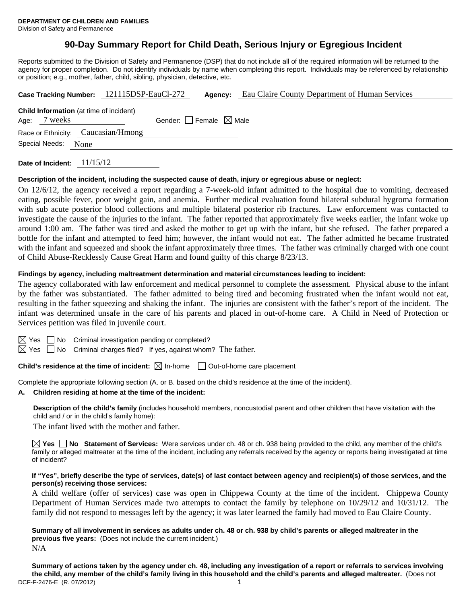# **90-Day Summary Report for Child Death, Serious Injury or Egregious Incident**

Reports submitted to the Division of Safety and Permanence (DSP) that do not include all of the required information will be returned to the agency for proper completion. Do not identify individuals by name when completing this report. Individuals may be referenced by relationship or position; e.g., mother, father, child, sibling, physician, detective, etc.

|      |                        | Case Tracking Number: 121115DSP-EauCl-272      | Agency:                         | Eau Claire County Department of Human Services |
|------|------------------------|------------------------------------------------|---------------------------------|------------------------------------------------|
| Age: | 7 weeks                | <b>Child Information</b> (at time of incident) | Gender: Female $\boxtimes$ Male |                                                |
|      |                        | Race or Ethnicity: Caucasian/Hmong             |                                 |                                                |
|      | Special Needs:<br>None |                                                |                                 |                                                |

**Date of Incident:** 11/15/12

#### **Description of the incident, including the suspected cause of death, injury or egregious abuse or neglect:**

On 12/6/12, the agency received a report regarding a 7-week-old infant admitted to the hospital due to vomiting, decreased eating, possible fever, poor weight gain, and anemia. Further medical evaluation found bilateral subdural hygroma formation with sub acute posterior blood collections and multiple bilateral posterior rib fractures. Law enforcement was contacted to investigate the cause of the injuries to the infant. The father reported that approximately five weeks earlier, the infant woke up around 1:00 am. The father was tired and asked the mother to get up with the infant, but she refused. The father prepared a bottle for the infant and attempted to feed him; however, the infant would not eat. The father admitted he became frustrated with the infant and squeezed and shook the infant approximately three times. The father was criminally charged with one count of Child Abuse-Recklessly Cause Great Harm and found guilty of this charge 8/23/13.

#### **Findings by agency, including maltreatment determination and material circumstances leading to incident:**

The agency collaborated with law enforcement and medical personnel to complete the assessment. Physical abuse to the infant by the father was substantiated. The father admitted to being tired and becoming frustrated when the infant would not eat, resulting in the father squeezing and shaking the infant. The injuries are consistent with the father's report of the incident. The infant was determined unsafe in the care of his parents and placed in out-of-home care. A Child in Need of Protection or Services petition was filed in juvenile court.

 $\boxtimes$  Yes  $\Box$  No Criminal investigation pending or completed?

 $\boxtimes$  Yes  $\Box$  No Criminal charges filed? If yes, against whom? The father.

**Child's residence at the time of incident:**  $\boxtimes$  In-home  $\Box$  Out-of-home care placement

Complete the appropriate following section (A. or B. based on the child's residence at the time of the incident).

### **A. Children residing at home at the time of the incident:**

**Description of the child's family** (includes household members, noncustodial parent and other children that have visitation with the child and / or in the child's family home):

The infant lived with the mother and father.

**Yes No Statement of Services:** Were services under ch. 48 or ch. 938 being provided to the child, any member of the child's family or alleged maltreater at the time of the incident, including any referrals received by the agency or reports being investigated at time of incident?

#### **If "Yes", briefly describe the type of services, date(s) of last contact between agency and recipient(s) of those services, and the person(s) receiving those services:**

A child welfare (offer of services) case was open in Chippewa County at the time of the incident. Chippewa County Department of Human Services made two attempts to contact the family by telephone on 10/29/12 and 10/31/12. The family did not respond to messages left by the agency; it was later learned the family had moved to Eau Claire County.

**Summary of all involvement in services as adults under ch. 48 or ch. 938 by child's parents or alleged maltreater in the previous five years:** (Does not include the current incident.) N/A

DCF-F-2476-E (R. 07/2012) 1 **Summary of actions taken by the agency under ch. 48, including any investigation of a report or referrals to services involving the child, any member of the child's family living in this household and the child's parents and alleged maltreater.** (Does not